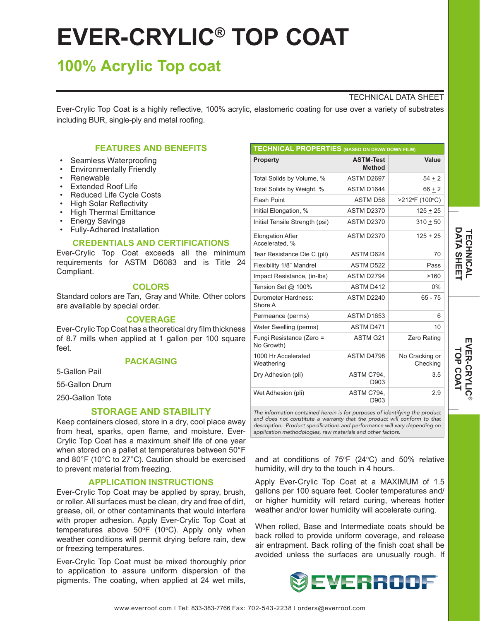# **EVER-CRYLIC® TOP COAT**

# **100% Acrylic Top coat**

## TECHNICAL DATA SHEET

Ever-Crylic Top Coat is a highly reflective, 100% acrylic, elastomeric coating for use over a variety of substrates including BUR, single-ply and metal roofing.

# **FEATURES AND BENEFITS**

- Seamless Waterproofing
- Environmentally Friendly
- **Renewable**
- **Extended Roof Life**
- Reduced Life Cycle Costs
- High Solar Reflectivity
- High Thermal Emittance
- Energy Savings
- Fully-Adhered Installation

### **CREDENTIALS AND CERTIFICATIONS**

Ever-Crylic Top Coat exceeds all the minimum requirements for ASTM D6083 and is Title 24 Compliant.

# **COLORS**

Standard colors are Tan, Gray and White. Other colors are available by special order.

# **COVERAGE**

Ever-Crylic Top Coat has a theoretical dry film thickness of 8.7 mills when applied at 1 gallon per 100 square feet.

# **PACKAGING**

5-Gallon Pail

55-Gallon Drum

250-Gallon Tote

# **STORAGE AND STABILITY**

Keep containers closed, store in a dry, cool place away from heat, sparks, open flame, and moisture. Ever-Crylic Top Coat has a maximum shelf life of one year when stored on a pallet at temperatures between 50°F and 80°F (10°C to 27°C). Caution should be exercised to prevent material from freezing.

#### **APPLICATION INSTRUCTIONS**

Ever-Crylic Top Coat may be applied by spray, brush, or roller. All surfaces must be clean, dry and free of dirt, grease, oil, or other contaminants that would interfere with proper adhesion. Apply Ever-Crylic Top Coat at temperatures above  $50^{\circ}F$  (10 $^{\circ}C$ ). Apply only when weather conditions will permit drying before rain, dew or freezing temperatures.

Ever-Crylic Top Coat must be mixed thoroughly prior to application to assure uniform dispersion of the pigments. The coating, when applied at 24 wet mills,

| <b>TECHNICAL PROPERTIES (BASED ON DRAW DOWN FILM)</b> |                                   |                            |
|-------------------------------------------------------|-----------------------------------|----------------------------|
| <b>Property</b>                                       | <b>ASTM-Test</b><br><b>Method</b> | Value                      |
| Total Solids by Volume, %                             | ASTM D2697                        | $54 + 2$                   |
| Total Solids by Weight, %                             | ASTM D1644                        | $66 + 2$                   |
| <b>Flash Point</b>                                    | ASTM D56                          | >212°F (100°C)             |
| Initial Elongation, %                                 | <b>ASTM D2370</b>                 | $125 + 25$                 |
| Initial Tensile Strength (psi)                        | <b>ASTM D2370</b>                 | $310 + 50$                 |
| <b>Elongation After</b><br>Accelerated, %             | <b>ASTM D2370</b>                 | $125 + 25$                 |
| Tear Resistance Die C (pli)                           | ASTM D624                         | 70                         |
| Flexibility 1/8" Mandrel                              | <b>ASTM D522</b>                  | Pass                       |
| Impact Resistance, (in-lbs)                           | ASTM D2794                        | >160                       |
| Tension Set @ 100%                                    | ASTM D412                         | $0\%$                      |
| Durometer Hardness:<br>Shore A                        | ASTM D2240                        | $65 - 75$                  |
| Permeance (perms)                                     | <b>ASTM D1653</b>                 | 6                          |
| Water Swelling (perms)                                | ASTM D471                         | 10                         |
| Fungi Resistance (Zero =<br>No Growth)                | ASTM G21                          | <b>Zero Rating</b>         |
| 1000 Hr Accelerated<br>Weathering                     | ASTM D4798                        | No Cracking or<br>Checking |
| Dry Adhesion (pli)                                    | ASTM C794,<br>D903                | 3.5                        |
| Wet Adhesion (pli)                                    | ASTM C794.<br>D903                | 2.9                        |

*The information contained herein is for purposes of identifying the product and does not constitute a warranty that the product will conform to that*  description. Product specifications and performance will vary depending on *application methodologies, raw materials and other factors.*

and at conditions of  $75^{\circ}F$  (24 $^{\circ}C$ ) and 50% relative humidity, will dry to the touch in 4 hours.

Apply Ever-Crylic Top Coat at a MAXIMUM of 1.5 gallons per 100 square feet. Cooler temperatures and/ or higher humidity will retard curing, whereas hotter weather and/or lower humidity will accelerate curing.

When rolled, Base and Intermediate coats should be back rolled to provide uniform coverage, and release air entrapment. Back rolling of the finish coat shall be avoided unless the surfaces are unusually rough. If



**®**